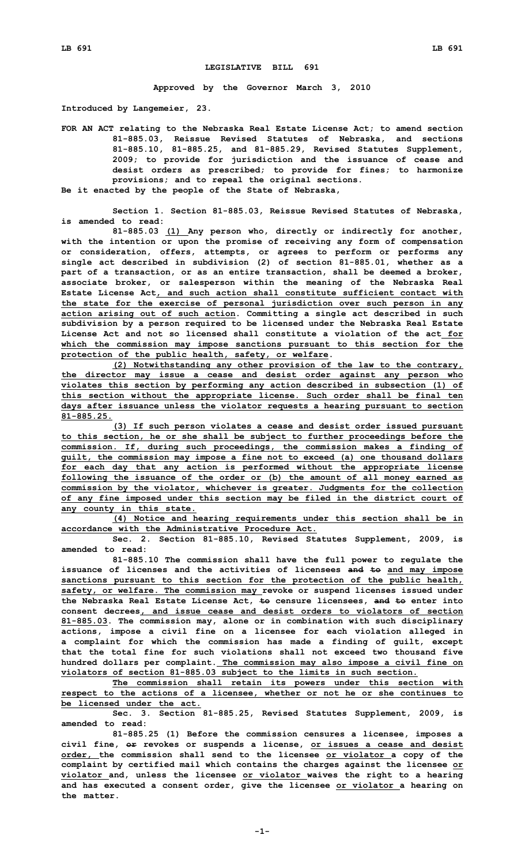## **LEGISLATIVE BILL 691**

**Approved by the Governor March 3, 2010**

**Introduced by Langemeier, 23.**

**FOR AN ACT relating to the Nebraska Real Estate License Act; to amend section 81-885.03, Reissue Revised Statutes of Nebraska, and sections 81-885.10, 81-885.25, and 81-885.29, Revised Statutes Supplement, 2009; to provide for jurisdiction and the issuance of cease and desist orders as prescribed; to provide for fines; to harmonize provisions; and to repeal the original sections. Be it enacted by the people of the State of Nebraska,**

**Section 1. Section 81-885.03, Reissue Revised Statutes of Nebraska, is amended to read:**

**81-885.03 (1) Any person who, directly or indirectly for another, with the intention or upon the promise of receiving any form of compensation or consideration, offers, attempts, or agrees to perform or performs any single act described in subdivision (2) of section 81-885.01, whether as <sup>a</sup> part of <sup>a</sup> transaction, or as an entire transaction, shall be deemed <sup>a</sup> broker, associate broker, or salesperson within the meaning of the Nebraska Real Estate License Act, and such action shall constitute sufficient contact with the state for the exercise of personal jurisdiction over such person in any action arising out of such action. Committing <sup>a</sup> single act described in such subdivision by <sup>a</sup> person required to be licensed under the Nebraska Real Estate License Act and not so licensed shall constitute a violation of the act for which the commission may impose sanctions pursuant to this section for the protection of the public health, safety, or welfare.**

**(2) Notwithstanding any other provision of the law to the contrary, the director may issue <sup>a</sup> cease and desist order against any person who violates this section by performing any action described in subsection (1) of this section without the appropriate license. Such order shall be final ten days after issuance unless the violator requests <sup>a</sup> hearing pursuant to section 81-885.25.**

**(3) If such person violates <sup>a</sup> cease and desist order issued pursuant to this section, he or she shall be subject to further proceedings before the commission. If, during such proceedings, the commission makes <sup>a</sup> finding of guilt, the commission may impose <sup>a</sup> fine not to exceed (a) one thousand dollars for each day that any action is performed without the appropriate license following the issuance of the order or (b) the amount of all money earned as commission by the violator, whichever is greater. Judgments for the collection of any fine imposed under this section may be filed in the district court of any county in this state.**

**(4) Notice and hearing requirements under this section shall be in accordance with the Administrative Procedure Act.**

**Sec. 2. Section 81-885.10, Revised Statutes Supplement, 2009, is amended to read:**

**81-885.10 The commission shall have the full power to regulate the issuance of licenses and the activities of licensees and to and may impose sanctions pursuant to this section for the protection of the public health, safety, or welfare. The commission may revoke or suspend licenses issued under the Nebraska Real Estate License Act, to censure licensees, and to enter into consent decrees, and issue cease and desist orders to violators of section 81-885.03. The commission may, alone or in combination with such disciplinary actions, impose <sup>a</sup> civil fine on <sup>a</sup> licensee for each violation alleged in <sup>a</sup> complaint for which the commission has made <sup>a</sup> finding of guilt, except that the total fine for such violations shall not exceed two thousand five hundred dollars per complaint. The commission may also impose <sup>a</sup> civil fine on violators of section 81-885.03 subject to the limits in such section.**

**The commission shall retain its powers under this section with respect to the actions of <sup>a</sup> licensee, whether or not he or she continues to be licensed under the act.**

**Sec. 3. Section 81-885.25, Revised Statutes Supplement, 2009, is amended to read:**

**81-885.25 (1) Before the commission censures <sup>a</sup> licensee, imposes <sup>a</sup> civil fine, or revokes or suspends <sup>a</sup> license, or issues <sup>a</sup> cease and desist order, the commission shall send to the licensee or violator <sup>a</sup> copy of the complaint by certified mail which contains the charges against the licensee or violator and, unless the licensee or violator waives the right to <sup>a</sup> hearing and has executed <sup>a</sup> consent order, give the licensee or violator <sup>a</sup> hearing on the matter.**